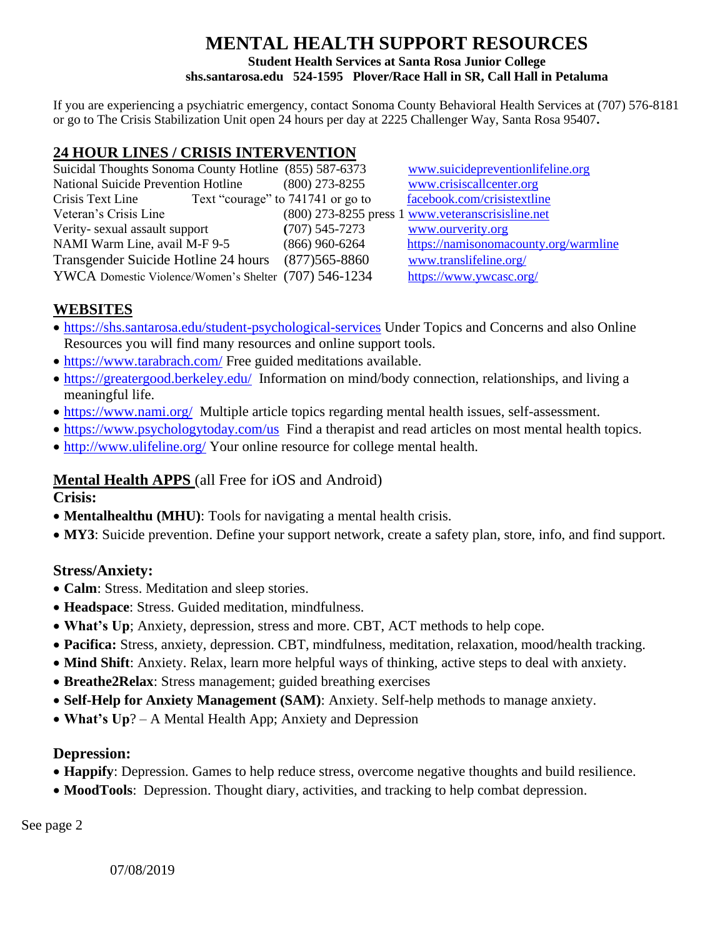# **MENTAL HEALTH SUPPORT RESOURCES Student Health Services at Santa Rosa Junior College shs.santarosa.edu 524-1595 Plover/Race Hall in SR, Call Hall in Petaluma**

If you are experiencing a psychiatric emergency, contact Sonoma County Behavioral Health Services at (707) 576-8181 or go to The Crisis Stabilization Unit open 24 hours per day at 2225 Challenger Way, Santa Rosa 95407**.**

# **24 HOUR LINES / CRISIS INTERVENTION**

| Suicidal Thoughts Sonoma County Hotline (855) 587-6373 |                   | www.suicidepreventionlifeline.org                 |
|--------------------------------------------------------|-------------------|---------------------------------------------------|
| <b>National Suicide Prevention Hotline</b>             | $(800)$ 273-8255  | www.crisiscallcenter.org                          |
| Text "courage" to 741741 or go to<br>Crisis Text Line  |                   | facebook.com/crisistextline                       |
| Veteran's Crisis Line                                  |                   | (800) 273-8255 press 1 www.veteranscrisisline.net |
| Verity-sexual assault support                          | $(707)$ 545-7273  | www.ourverity.org                                 |
| NAMI Warm Line, avail M-F 9-5                          | $(866)$ 960-6264  | https://namisonomacounty.org/warmline             |
| Transgender Suicide Hotline 24 hours                   | $(877)565 - 8860$ | www.translifeline.org/                            |
| YWCA Domestic Violence/Women's Shelter (707) 546-1234  |                   | https://www.ywcasc.org/                           |

# **WEBSITES**

- <https://shs.santarosa.edu/student-psychological-services> Under Topics and Concerns and also Online Resources you will find many resources and online support tools.
- <https://www.tarabrach.com/> Free guided meditations available.
- <https://greatergood.berkeley.edu/>Information on mind/body connection, relationships, and living a meaningful life.
- <https://www.nami.org/>Multiple article topics regarding mental health issues, self-assessment.
- <https://www.psychologytoday.com/us>Find a therapist and read articles on most mental health topics.
- <http://www.ulifeline.org/> Your online resource for college mental health.

### **Mental Health APPS** (all Free for iOS and Android)

**Crisis:**

- **Mentalhealthu (MHU)**: Tools for navigating a mental health crisis.
- **MY3**: Suicide prevention. Define your support network, create a safety plan, store, info, and find support.

### **Stress/Anxiety:**

- **Calm**: Stress. Meditation and sleep stories.
- **Headspace**: Stress. Guided meditation, mindfulness.
- **What's Up**; Anxiety, depression, stress and more. CBT, ACT methods to help cope.
- **Pacifica:** Stress, anxiety, depression. CBT, mindfulness, meditation, relaxation, mood/health tracking.
- **Mind Shift**: Anxiety. Relax, learn more helpful ways of thinking, active steps to deal with anxiety.
- **Breathe2Relax**: Stress management; guided breathing exercises
- **Self-Help for Anxiety Management (SAM)**: Anxiety. Self-help methods to manage anxiety.
- **What's Up**? A Mental Health App; Anxiety and Depression

### **Depression:**

- **Happify**: Depression. Games to help reduce stress, overcome negative thoughts and build resilience.
- **MoodTools**: Depression. Thought diary, activities, and tracking to help combat depression.

See page 2

07/08/2019